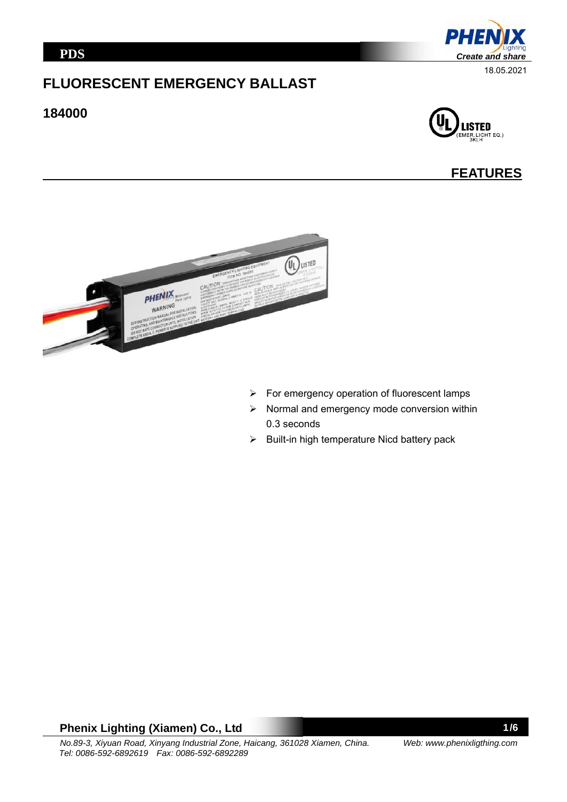# **FLUORESCENT EMERGENCY BALLAST**

#### **184000**



## **FEATURES**



- $\triangleright$  For emergency operation of fluorescent lamps
- $\triangleright$  Normal and emergency mode conversion within 0.3 seconds
- $\triangleright$  Built-in high temperature Nicd battery pack

### **Phenix Lighting (Xiamen) Co., Ltd**

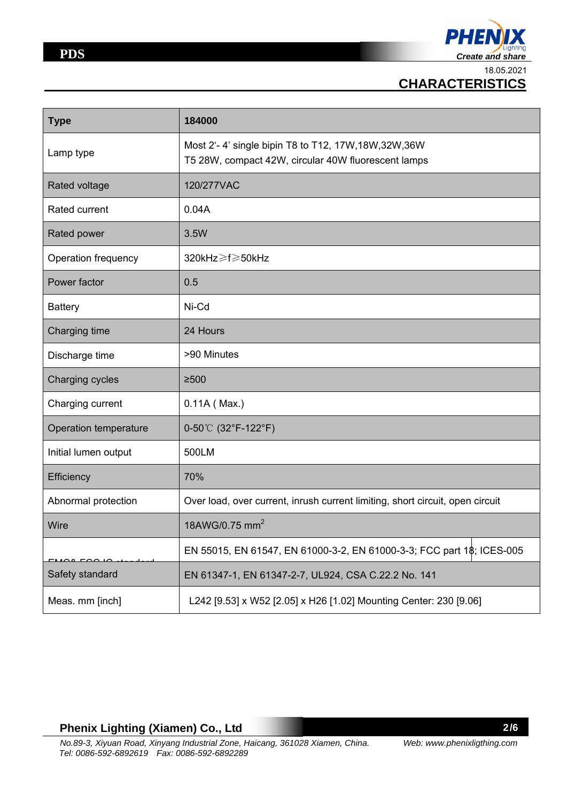

18.05.2021

 **CHARACTERISTICS** 

| <b>Type</b>           | 184000                                                                                                       |  |  |  |
|-----------------------|--------------------------------------------------------------------------------------------------------------|--|--|--|
| Lamp type             | Most 2'-4' single bipin T8 to T12, 17W, 18W, 32W, 36W<br>T5 28W, compact 42W, circular 40W fluorescent lamps |  |  |  |
| Rated voltage         | 120/277VAC                                                                                                   |  |  |  |
| Rated current         | 0.04A                                                                                                        |  |  |  |
| Rated power           | 3.5W                                                                                                         |  |  |  |
| Operation frequency   | 320kHz≥f≥50kHz                                                                                               |  |  |  |
| Power factor          | 0.5                                                                                                          |  |  |  |
| <b>Battery</b>        | Ni-Cd                                                                                                        |  |  |  |
| Charging time         | 24 Hours                                                                                                     |  |  |  |
| Discharge time        | >90 Minutes                                                                                                  |  |  |  |
| Charging cycles       | $≥500$                                                                                                       |  |  |  |
| Charging current      | $0.11A($ Max.)                                                                                               |  |  |  |
| Operation temperature | $0-50^{\circ}$ (32°F-122°F)                                                                                  |  |  |  |
| Initial lumen output  | 500LM                                                                                                        |  |  |  |
| Efficiency            | 70%                                                                                                          |  |  |  |
| Abnormal protection   | Over load, over current, inrush current limiting, short circuit, open circuit                                |  |  |  |
| Wire                  | 18AWG/0.75 mm <sup>2</sup>                                                                                   |  |  |  |
|                       | EN 55015, EN 61547, EN 61000-3-2, EN 61000-3-3; FCC part 1\$; ICES-005                                       |  |  |  |
| Safety standard       | EN 61347-1, EN 61347-2-7, UL924, CSA C.22.2 No. 141                                                          |  |  |  |
| Meas. mm [inch]       | L242 [9.53] x W52 [2.05] x H26 [1.02] Mounting Center: 230 [9.06]                                            |  |  |  |

### **Phenix Lighting (Xiamen) Co., Ltd**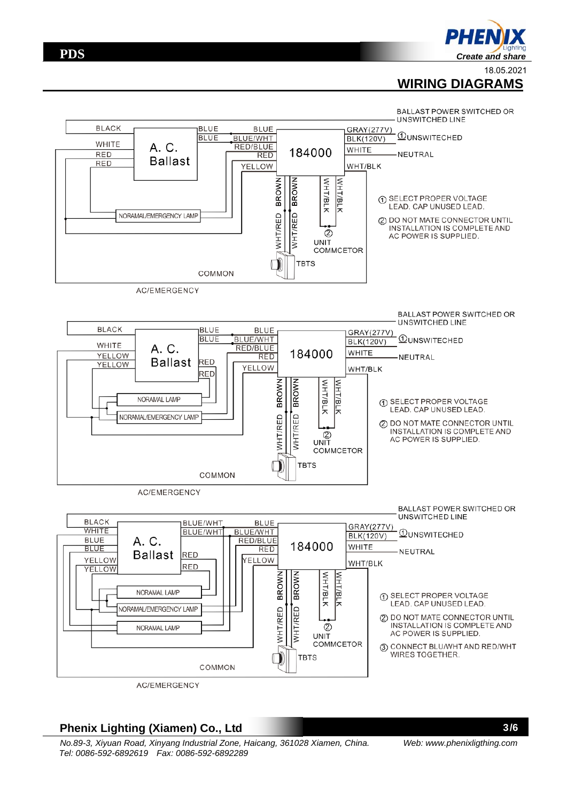**PDS**

18.05.2021

## **WIRING DIAGRAMS**



#### **Phenix Lighting (Xiamen) Co., Ltd**

*No.89-3, Xiyuan Road, Xinyang Industrial Zone, Haicang, 361028 Xiamen, China. Tel: 0086-592-6892619 Fax: 0086-592-6892289* 

3/6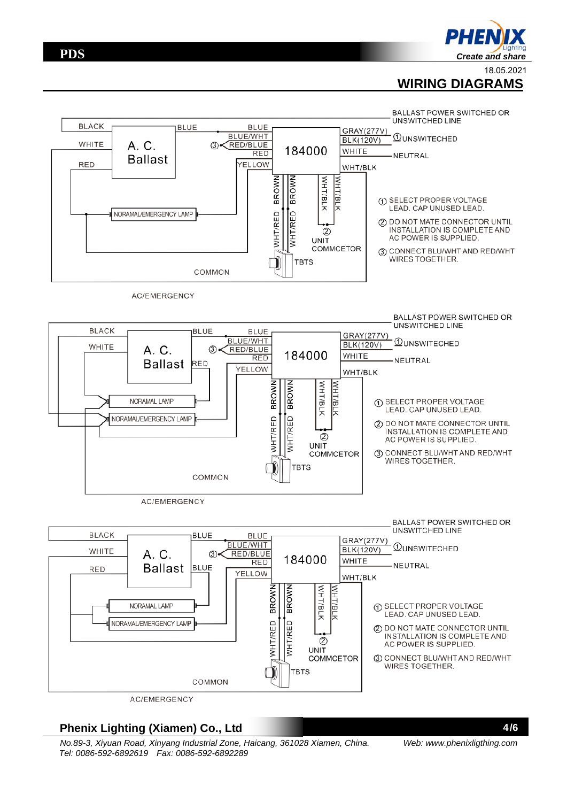## **WIRING DIAGRAMS**



### **Phenix Lighting (Xiamen) Co., Ltd**

*No.89-3, Xiyuan Road, Xinyang Industrial Zone, Haicang, 361028 Xiamen, China. Tel: 0086-592-6892619 Fax: 0086-592-6892289* 

4/6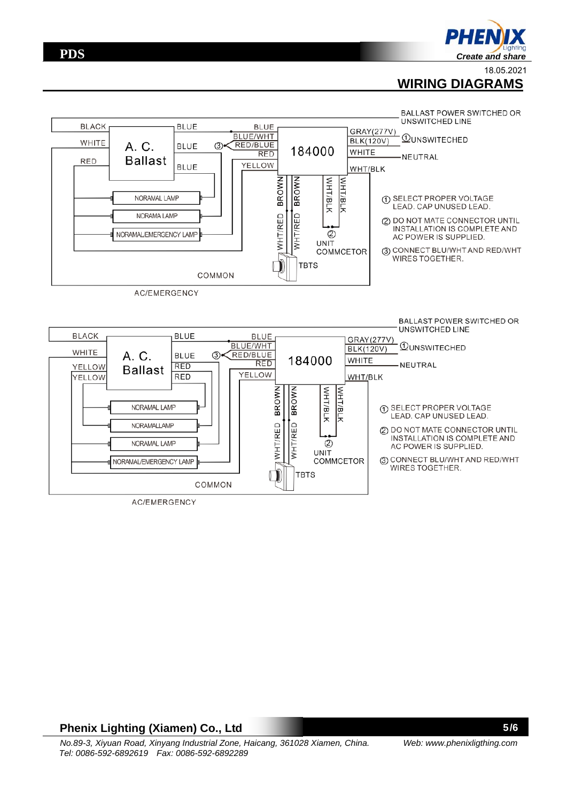

 **WIRING DIAGRAMS**



AC/EMERGENCY

#### **Phenix Lighting (Xiamen) Co., Ltd**

5/6